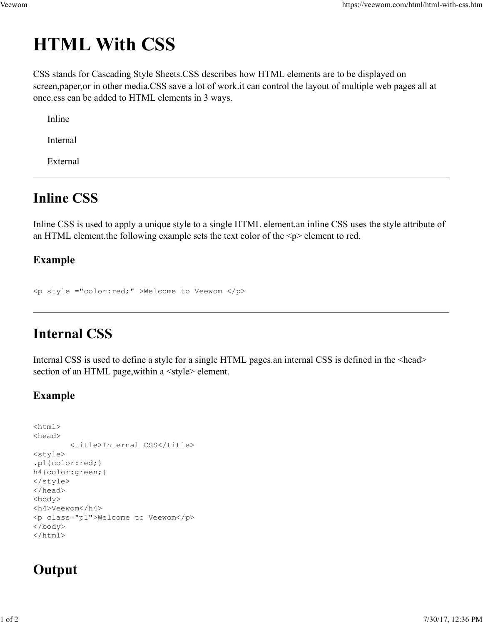# HTML With CSS Veewom https://veewom.com/html/html-with-css.htm $\bf{HTML}$   $\bf With$   $\bf CSS}$

CSS stands for Cascading Style Sheets.CSS describes how HTML elements are to be displayed on screen,paper,or in other media.CSS save a lot of work.it can control the layout of multiple web pages all at once.css can be added to HTML elements in 3 ways.

Inline

Internal

External

# Inline CSS

Inline CSS is used to apply a unique style to a single HTML element.an inline CSS uses the style attribute of an HTML element.the following example sets the text color of the  $\leq p$  element to red. Inline<br>
Incension<br>
Infernal<br>
External<br>
Infernal CSS<br>
Internal CSS is used to apply a unique style to a single HTML element.<br>
an HTML element.the following example sets the text color of the <p> element to red.<br>
Example<br>  $\$ 

## Example

# Internal CSS

Internal CSS is used to define a style for a single HTML pages. an internal CSS is defined in the <head> section of an HTML page, within a <style> element.

### Example

```
<html><head>
                   <title>Internal CSS</title>
         <style>
         .p1{color:red;}
         h4{color:green;}
         </style>
         </head>
         <body>
         <h4>Veewom</h4>
         <p class="p1">Welcome to Veewom</p>
         </body>
         </html>
%hml><br>
%hml><br>
%httle>Internal CSS</title><br>
style><br>
.pl(color:grea;)<br>
h4(color:grea;)<br>
d(acolor:grea;)<br>
</acolor<br>
</had><br>
%how<br>
%http:><br>
%http:><br>
%http:><br>
%http:><br>
xidex<br>
xidex<br>
xidex<br>
xidex<br>
xidex<br>
xidex<br>
xidex<br>
xidex<br>
xid
```
# **Output**